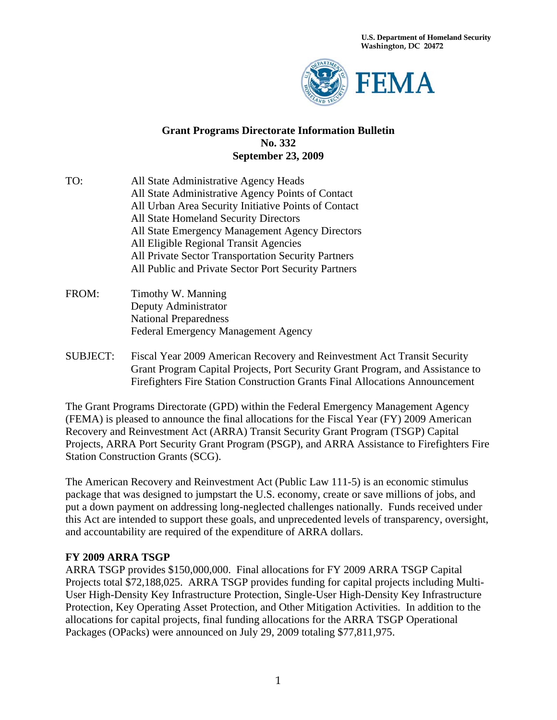**U.S. Department of Homeland Security Washington, DC 20472** 



#### **Grant Programs Directorate Information Bulletin No. 332 September 23, 2009**

- TO: All State Administrative Agency Heads All State Administrative Agency Points of Contact All Urban Area Security Initiative Points of Contact All State Homeland Security Directors All State Emergency Management Agency Directors All Eligible Regional Transit Agencies All Private Sector Transportation Security Partners All Public and Private Sector Port Security Partners
- FROM: Timothy W. Manning Deputy Administrator National Preparedness Federal Emergency Management Agency
- SUBJECT: Fiscal Year 2009 American Recovery and Reinvestment Act Transit Security Grant Program Capital Projects, Port Security Grant Program, and Assistance to Firefighters Fire Station Construction Grants Final Allocations Announcement

The Grant Programs Directorate (GPD) within the Federal Emergency Management Agency (FEMA) is pleased to announce the final allocations for the Fiscal Year (FY) 2009 American Recovery and Reinvestment Act (ARRA) Transit Security Grant Program (TSGP) Capital Projects, ARRA Port Security Grant Program (PSGP), and ARRA Assistance to Firefighters Fire Station Construction Grants (SCG).

The American Recovery and Reinvestment Act (Public Law 111-5) is an economic stimulus package that was designed to jumpstart the U.S. economy, create or save millions of jobs, and put a down payment on addressing long-neglected challenges nationally. Funds received under this Act are intended to support these goals, and unprecedented levels of transparency, oversight, and accountability are required of the expenditure of ARRA dollars.

#### **FY 2009 ARRA TSGP**

ARRA TSGP provides \$150,000,000. Final allocations for FY 2009 ARRA TSGP Capital Projects total \$72,188,025. ARRA TSGP provides funding for capital projects including Multi-User High-Density Key Infrastructure Protection, Single-User High-Density Key Infrastructure Protection, Key Operating Asset Protection, and Other Mitigation Activities. In addition to the allocations for capital projects, final funding allocations for the ARRA TSGP Operational Packages (OPacks) were announced on July 29, 2009 totaling \$77,811,975.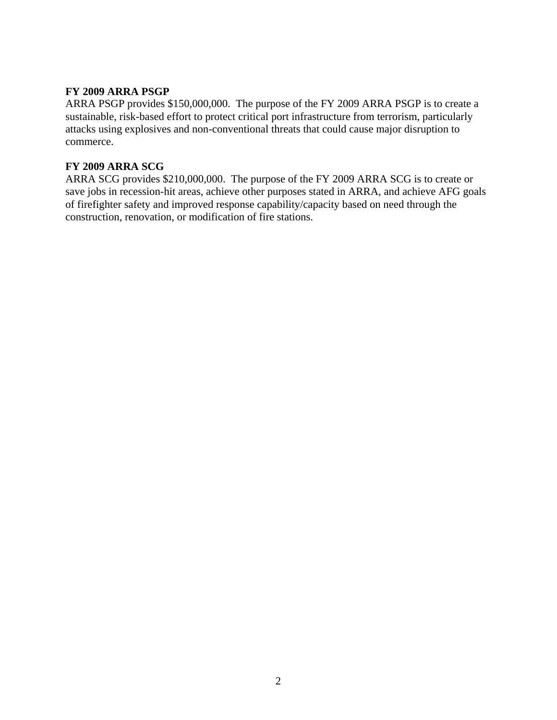### **FY 2009 ARRA PSGP**

ARRA PSGP provides \$150,000,000. The purpose of the FY 2009 ARRA PSGP is to create a sustainable, risk-based effort to protect critical port infrastructure from terrorism, particularly attacks using explosives and non-conventional threats that could cause major disruption to commerce.

#### **FY 2009 ARRA SCG**

ARRA SCG provides \$210,000,000. The purpose of the FY 2009 ARRA SCG is to create or save jobs in recession-hit areas, achieve other purposes stated in ARRA, and achieve AFG goals of firefighter safety and improved response capability/capacity based on need through the construction, renovation, or modification of fire stations.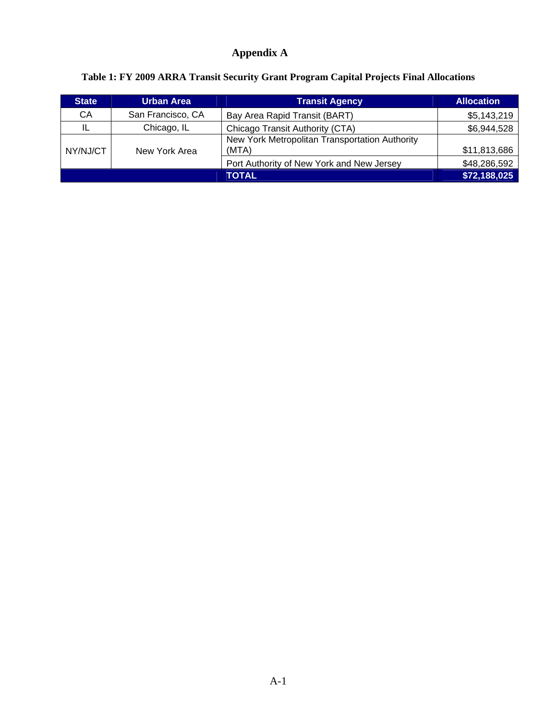# **Appendix A**

| <b>State</b> | <b>Urban Area</b>                              | <b>Transit Agency</b>                                   | <b>Allocation</b> |
|--------------|------------------------------------------------|---------------------------------------------------------|-------------------|
| СA           | San Francisco, CA                              | Bay Area Rapid Transit (BART)                           | \$5,143,219       |
|              | Chicago, IL<br>Chicago Transit Authority (CTA) |                                                         | \$6,944,528       |
| NY/NJ/CT     | New York Area                                  | New York Metropolitan Transportation Authority<br>(MTA) | \$11,813,686      |
|              |                                                | Port Authority of New York and New Jersey               | \$48,286,592      |
|              |                                                | <b>TOTAL</b>                                            | \$72,188,025      |

# **Table 1: FY 2009 ARRA Transit Security Grant Program Capital Projects Final Allocations**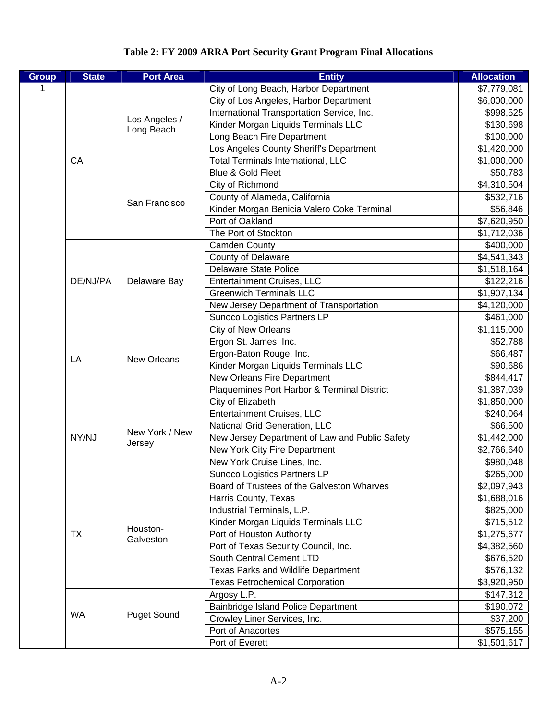### **Table 2: FY 2009 ARRA Port Security Grant Program Final Allocations**

| <b>Group</b> | <b>State</b> | <b>Port Area</b>         | <b>Entity</b>                                  | <b>Allocation</b> |
|--------------|--------------|--------------------------|------------------------------------------------|-------------------|
| 1            |              |                          | City of Long Beach, Harbor Department          | \$7,779,081       |
|              |              |                          | City of Los Angeles, Harbor Department         | \$6,000,000       |
|              |              |                          | International Transportation Service, Inc.     | \$998,525         |
|              |              | Los Angeles /            | Kinder Morgan Liquids Terminals LLC            | \$130,698         |
|              |              | Long Beach               | Long Beach Fire Department                     | \$100,000         |
|              |              |                          | Los Angeles County Sheriff's Department        | \$1,420,000       |
|              | CA           |                          | <b>Total Terminals International, LLC</b>      | \$1,000,000       |
|              |              |                          | Blue & Gold Fleet                              | \$50,783          |
|              |              |                          | City of Richmond                               | \$4,310,504       |
|              |              |                          | County of Alameda, California                  | \$532,716         |
|              |              | San Francisco            | Kinder Morgan Benicia Valero Coke Terminal     | \$56,846          |
|              |              |                          | Port of Oakland                                | \$7,620,950       |
|              |              |                          | The Port of Stockton                           | \$1,712,036       |
|              |              |                          | <b>Camden County</b>                           | \$400,000         |
|              |              |                          | <b>County of Delaware</b>                      | \$4,541,343       |
|              |              |                          | <b>Delaware State Police</b>                   | \$1,518,164       |
|              | DE/NJ/PA     | Delaware Bay             | <b>Entertainment Cruises, LLC</b>              | \$122,216         |
|              |              |                          | <b>Greenwich Terminals LLC</b>                 | \$1,907,134       |
|              |              |                          | New Jersey Department of Transportation        | \$4,120,000       |
|              |              |                          | Sunoco Logistics Partners LP                   | \$461,000         |
|              | LA           |                          | City of New Orleans                            | \$1,115,000       |
|              |              |                          | Ergon St. James, Inc.                          | \$52,788          |
|              |              | <b>New Orleans</b>       | Ergon-Baton Rouge, Inc.                        | \$66,487          |
|              |              |                          | Kinder Morgan Liquids Terminals LLC            | \$90,686          |
|              |              |                          | New Orleans Fire Department                    | \$844,417         |
|              |              |                          | Plaquemines Port Harbor & Terminal District    | \$1,387,039       |
|              | NY/NJ        |                          | City of Elizabeth                              | \$1,850,000       |
|              |              |                          | Entertainment Cruises, LLC                     | \$240,064         |
|              |              |                          | National Grid Generation, LLC                  | \$66,500          |
|              |              | New York / New<br>Jersey | New Jersey Department of Law and Public Safety | \$1,442,000       |
|              |              |                          | New York City Fire Department                  | \$2,766,640       |
|              |              |                          | New York Cruise Lines, Inc.                    | \$980,048         |
|              |              |                          | Sunoco Logistics Partners LP                   | \$265,000         |
|              |              |                          | Board of Trustees of the Galveston Wharves     | \$2,097,943       |
|              |              |                          | Harris County, Texas                           | \$1,688,016       |
|              |              |                          | Industrial Terminals, L.P.                     | \$825,000         |
|              |              |                          | Kinder Morgan Liquids Terminals LLC            | \$715,512         |
|              | <b>TX</b>    | Houston-                 | Port of Houston Authority                      | \$1,275,677       |
|              |              | Galveston                | Port of Texas Security Council, Inc.           | \$4,382,560       |
|              |              |                          | South Central Cement LTD                       | \$676,520         |
|              |              |                          | Texas Parks and Wildlife Department            | \$576,132         |
|              |              |                          | <b>Texas Petrochemical Corporation</b>         | \$3,920,950       |
|              |              |                          | Argosy L.P.                                    | \$147,312         |
|              |              |                          | Bainbridge Island Police Department            | \$190,072         |
|              | <b>WA</b>    | <b>Puget Sound</b>       | Crowley Liner Services, Inc.                   | \$37,200          |
|              |              |                          | Port of Anacortes                              | \$575,155         |
|              |              |                          | Port of Everett                                | \$1,501,617       |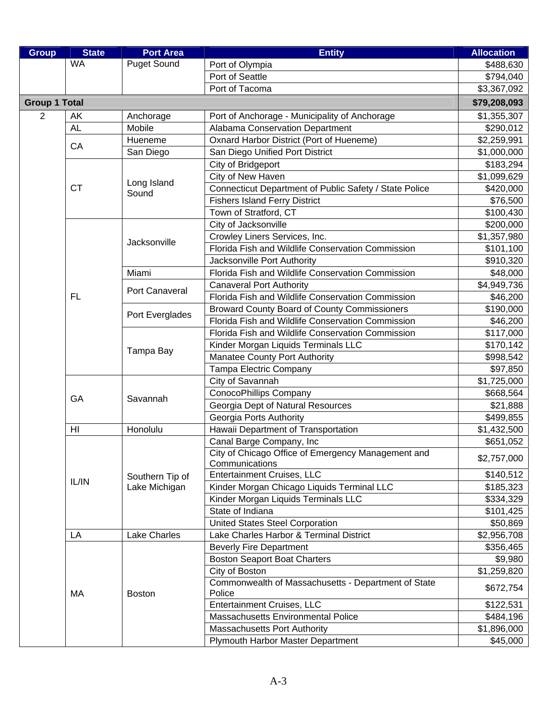| <b>Puget Sound</b><br>Port of Olympia<br>\$488,630<br>Port of Seattle<br>\$794,040<br>Port of Tacoma<br>\$3,367,092<br><b>Group 1 Total</b><br>\$79,208,093<br>$\overline{2}$<br>\$1,355,307<br>AK<br>Port of Anchorage - Municipality of Anchorage<br>Anchorage<br><b>AL</b><br>Mobile<br>Alabama Conservation Department<br>\$290,012<br>Oxnard Harbor District (Port of Hueneme)<br>Hueneme<br>\$2,259,991<br>CA<br>San Diego<br>San Diego Unified Port District<br>\$1,000,000<br>City of Bridgeport<br>\$183,294<br>City of New Haven<br>\$1,099,629<br>Long Island<br>Connecticut Department of Public Safety / State Police<br><b>CT</b><br>\$420,000<br>Sound<br><b>Fishers Island Ferry District</b><br>\$76,500<br>Town of Stratford, CT<br>\$100,430<br>City of Jacksonville<br>\$200,000<br>Crowley Liners Services, Inc.<br>\$1,357,980<br>Jacksonville<br>Florida Fish and Wildlife Conservation Commission<br>\$101,100<br>\$910,320<br>Jacksonville Port Authority<br>Florida Fish and Wildlife Conservation Commission<br>Miami<br>\$48,000<br>\$4,949,736<br><b>Canaveral Port Authority</b><br>Port Canaveral<br>Florida Fish and Wildlife Conservation Commission<br>\$46,200<br><b>FL</b><br><b>Broward County Board of County Commissioners</b><br>\$190,000<br>Port Everglades<br>Florida Fish and Wildlife Conservation Commission<br>\$46,200<br>Florida Fish and Wildlife Conservation Commission<br>\$117,000<br>Kinder Morgan Liquids Terminals LLC<br>\$170,142<br>Tampa Bay<br><b>Manatee County Port Authority</b><br>\$998,542<br>Tampa Electric Company<br>\$97,850<br>City of Savannah<br>\$1,725,000<br>ConocoPhillips Company<br>\$668,564<br>GA<br>Savannah<br>Georgia Dept of Natural Resources<br>\$21,888<br>Georgia Ports Authority<br>\$499,855<br>Hawaii Department of Transportation<br>HI<br>Honolulu<br>\$1,432,500<br>Canal Barge Company, Inc<br>\$651,052<br>City of Chicago Office of Emergency Management and<br>\$2,757,000<br>Communications<br><b>Entertainment Cruises, LLC</b><br>\$140,512<br>Southern Tip of<br>IL/IN<br>Kinder Morgan Chicago Liquids Terminal LLC<br>Lake Michigan<br>\$185,323<br>Kinder Morgan Liquids Terminals LLC<br>\$334,329<br>State of Indiana<br>\$101,425<br>United States Steel Corporation<br>\$50,869<br><b>Lake Charles</b><br>Lake Charles Harbor & Terminal District<br>LA<br>\$2,956,708<br><b>Beverly Fire Department</b><br>\$356,465<br><b>Boston Seaport Boat Charters</b><br>\$9,980<br>City of Boston<br>\$1,259,820<br>Commonwealth of Massachusetts - Department of State<br>\$672,754<br>Police<br>МA<br><b>Boston</b><br>Entertainment Cruises, LLC<br>\$122,531<br>Massachusetts Environmental Police<br>\$484,196<br><b>Massachusetts Port Authority</b><br>\$1,896,000<br>Plymouth Harbor Master Department<br>\$45,000 | <b>Group</b> | <b>State</b> | <b>Port Area</b> | <b>Entity</b> | <b>Allocation</b> |
|------------------------------------------------------------------------------------------------------------------------------------------------------------------------------------------------------------------------------------------------------------------------------------------------------------------------------------------------------------------------------------------------------------------------------------------------------------------------------------------------------------------------------------------------------------------------------------------------------------------------------------------------------------------------------------------------------------------------------------------------------------------------------------------------------------------------------------------------------------------------------------------------------------------------------------------------------------------------------------------------------------------------------------------------------------------------------------------------------------------------------------------------------------------------------------------------------------------------------------------------------------------------------------------------------------------------------------------------------------------------------------------------------------------------------------------------------------------------------------------------------------------------------------------------------------------------------------------------------------------------------------------------------------------------------------------------------------------------------------------------------------------------------------------------------------------------------------------------------------------------------------------------------------------------------------------------------------------------------------------------------------------------------------------------------------------------------------------------------------------------------------------------------------------------------------------------------------------------------------------------------------------------------------------------------------------------------------------------------------------------------------------------------------------------------------------------------------------------------------------------------------------------------------------------------------------------------------------------------------------------------------------------------------------------------------------------------------------------------------------------------------------------------------------------------------------------------------|--------------|--------------|------------------|---------------|-------------------|
|                                                                                                                                                                                                                                                                                                                                                                                                                                                                                                                                                                                                                                                                                                                                                                                                                                                                                                                                                                                                                                                                                                                                                                                                                                                                                                                                                                                                                                                                                                                                                                                                                                                                                                                                                                                                                                                                                                                                                                                                                                                                                                                                                                                                                                                                                                                                                                                                                                                                                                                                                                                                                                                                                                                                                                                                                                    |              | <b>WA</b>    |                  |               |                   |
|                                                                                                                                                                                                                                                                                                                                                                                                                                                                                                                                                                                                                                                                                                                                                                                                                                                                                                                                                                                                                                                                                                                                                                                                                                                                                                                                                                                                                                                                                                                                                                                                                                                                                                                                                                                                                                                                                                                                                                                                                                                                                                                                                                                                                                                                                                                                                                                                                                                                                                                                                                                                                                                                                                                                                                                                                                    |              |              |                  |               |                   |
|                                                                                                                                                                                                                                                                                                                                                                                                                                                                                                                                                                                                                                                                                                                                                                                                                                                                                                                                                                                                                                                                                                                                                                                                                                                                                                                                                                                                                                                                                                                                                                                                                                                                                                                                                                                                                                                                                                                                                                                                                                                                                                                                                                                                                                                                                                                                                                                                                                                                                                                                                                                                                                                                                                                                                                                                                                    |              |              |                  |               |                   |
|                                                                                                                                                                                                                                                                                                                                                                                                                                                                                                                                                                                                                                                                                                                                                                                                                                                                                                                                                                                                                                                                                                                                                                                                                                                                                                                                                                                                                                                                                                                                                                                                                                                                                                                                                                                                                                                                                                                                                                                                                                                                                                                                                                                                                                                                                                                                                                                                                                                                                                                                                                                                                                                                                                                                                                                                                                    |              |              |                  |               |                   |
|                                                                                                                                                                                                                                                                                                                                                                                                                                                                                                                                                                                                                                                                                                                                                                                                                                                                                                                                                                                                                                                                                                                                                                                                                                                                                                                                                                                                                                                                                                                                                                                                                                                                                                                                                                                                                                                                                                                                                                                                                                                                                                                                                                                                                                                                                                                                                                                                                                                                                                                                                                                                                                                                                                                                                                                                                                    |              |              |                  |               |                   |
|                                                                                                                                                                                                                                                                                                                                                                                                                                                                                                                                                                                                                                                                                                                                                                                                                                                                                                                                                                                                                                                                                                                                                                                                                                                                                                                                                                                                                                                                                                                                                                                                                                                                                                                                                                                                                                                                                                                                                                                                                                                                                                                                                                                                                                                                                                                                                                                                                                                                                                                                                                                                                                                                                                                                                                                                                                    |              |              |                  |               |                   |
|                                                                                                                                                                                                                                                                                                                                                                                                                                                                                                                                                                                                                                                                                                                                                                                                                                                                                                                                                                                                                                                                                                                                                                                                                                                                                                                                                                                                                                                                                                                                                                                                                                                                                                                                                                                                                                                                                                                                                                                                                                                                                                                                                                                                                                                                                                                                                                                                                                                                                                                                                                                                                                                                                                                                                                                                                                    |              |              |                  |               |                   |
|                                                                                                                                                                                                                                                                                                                                                                                                                                                                                                                                                                                                                                                                                                                                                                                                                                                                                                                                                                                                                                                                                                                                                                                                                                                                                                                                                                                                                                                                                                                                                                                                                                                                                                                                                                                                                                                                                                                                                                                                                                                                                                                                                                                                                                                                                                                                                                                                                                                                                                                                                                                                                                                                                                                                                                                                                                    |              |              |                  |               |                   |
|                                                                                                                                                                                                                                                                                                                                                                                                                                                                                                                                                                                                                                                                                                                                                                                                                                                                                                                                                                                                                                                                                                                                                                                                                                                                                                                                                                                                                                                                                                                                                                                                                                                                                                                                                                                                                                                                                                                                                                                                                                                                                                                                                                                                                                                                                                                                                                                                                                                                                                                                                                                                                                                                                                                                                                                                                                    |              |              |                  |               |                   |
|                                                                                                                                                                                                                                                                                                                                                                                                                                                                                                                                                                                                                                                                                                                                                                                                                                                                                                                                                                                                                                                                                                                                                                                                                                                                                                                                                                                                                                                                                                                                                                                                                                                                                                                                                                                                                                                                                                                                                                                                                                                                                                                                                                                                                                                                                                                                                                                                                                                                                                                                                                                                                                                                                                                                                                                                                                    |              |              |                  |               |                   |
|                                                                                                                                                                                                                                                                                                                                                                                                                                                                                                                                                                                                                                                                                                                                                                                                                                                                                                                                                                                                                                                                                                                                                                                                                                                                                                                                                                                                                                                                                                                                                                                                                                                                                                                                                                                                                                                                                                                                                                                                                                                                                                                                                                                                                                                                                                                                                                                                                                                                                                                                                                                                                                                                                                                                                                                                                                    |              |              |                  |               |                   |
|                                                                                                                                                                                                                                                                                                                                                                                                                                                                                                                                                                                                                                                                                                                                                                                                                                                                                                                                                                                                                                                                                                                                                                                                                                                                                                                                                                                                                                                                                                                                                                                                                                                                                                                                                                                                                                                                                                                                                                                                                                                                                                                                                                                                                                                                                                                                                                                                                                                                                                                                                                                                                                                                                                                                                                                                                                    |              |              |                  |               |                   |
|                                                                                                                                                                                                                                                                                                                                                                                                                                                                                                                                                                                                                                                                                                                                                                                                                                                                                                                                                                                                                                                                                                                                                                                                                                                                                                                                                                                                                                                                                                                                                                                                                                                                                                                                                                                                                                                                                                                                                                                                                                                                                                                                                                                                                                                                                                                                                                                                                                                                                                                                                                                                                                                                                                                                                                                                                                    |              |              |                  |               |                   |
|                                                                                                                                                                                                                                                                                                                                                                                                                                                                                                                                                                                                                                                                                                                                                                                                                                                                                                                                                                                                                                                                                                                                                                                                                                                                                                                                                                                                                                                                                                                                                                                                                                                                                                                                                                                                                                                                                                                                                                                                                                                                                                                                                                                                                                                                                                                                                                                                                                                                                                                                                                                                                                                                                                                                                                                                                                    |              |              |                  |               |                   |
|                                                                                                                                                                                                                                                                                                                                                                                                                                                                                                                                                                                                                                                                                                                                                                                                                                                                                                                                                                                                                                                                                                                                                                                                                                                                                                                                                                                                                                                                                                                                                                                                                                                                                                                                                                                                                                                                                                                                                                                                                                                                                                                                                                                                                                                                                                                                                                                                                                                                                                                                                                                                                                                                                                                                                                                                                                    |              |              |                  |               |                   |
|                                                                                                                                                                                                                                                                                                                                                                                                                                                                                                                                                                                                                                                                                                                                                                                                                                                                                                                                                                                                                                                                                                                                                                                                                                                                                                                                                                                                                                                                                                                                                                                                                                                                                                                                                                                                                                                                                                                                                                                                                                                                                                                                                                                                                                                                                                                                                                                                                                                                                                                                                                                                                                                                                                                                                                                                                                    |              |              |                  |               |                   |
|                                                                                                                                                                                                                                                                                                                                                                                                                                                                                                                                                                                                                                                                                                                                                                                                                                                                                                                                                                                                                                                                                                                                                                                                                                                                                                                                                                                                                                                                                                                                                                                                                                                                                                                                                                                                                                                                                                                                                                                                                                                                                                                                                                                                                                                                                                                                                                                                                                                                                                                                                                                                                                                                                                                                                                                                                                    |              |              |                  |               |                   |
|                                                                                                                                                                                                                                                                                                                                                                                                                                                                                                                                                                                                                                                                                                                                                                                                                                                                                                                                                                                                                                                                                                                                                                                                                                                                                                                                                                                                                                                                                                                                                                                                                                                                                                                                                                                                                                                                                                                                                                                                                                                                                                                                                                                                                                                                                                                                                                                                                                                                                                                                                                                                                                                                                                                                                                                                                                    |              |              |                  |               |                   |
|                                                                                                                                                                                                                                                                                                                                                                                                                                                                                                                                                                                                                                                                                                                                                                                                                                                                                                                                                                                                                                                                                                                                                                                                                                                                                                                                                                                                                                                                                                                                                                                                                                                                                                                                                                                                                                                                                                                                                                                                                                                                                                                                                                                                                                                                                                                                                                                                                                                                                                                                                                                                                                                                                                                                                                                                                                    |              |              |                  |               |                   |
|                                                                                                                                                                                                                                                                                                                                                                                                                                                                                                                                                                                                                                                                                                                                                                                                                                                                                                                                                                                                                                                                                                                                                                                                                                                                                                                                                                                                                                                                                                                                                                                                                                                                                                                                                                                                                                                                                                                                                                                                                                                                                                                                                                                                                                                                                                                                                                                                                                                                                                                                                                                                                                                                                                                                                                                                                                    |              |              |                  |               |                   |
|                                                                                                                                                                                                                                                                                                                                                                                                                                                                                                                                                                                                                                                                                                                                                                                                                                                                                                                                                                                                                                                                                                                                                                                                                                                                                                                                                                                                                                                                                                                                                                                                                                                                                                                                                                                                                                                                                                                                                                                                                                                                                                                                                                                                                                                                                                                                                                                                                                                                                                                                                                                                                                                                                                                                                                                                                                    |              |              |                  |               |                   |
|                                                                                                                                                                                                                                                                                                                                                                                                                                                                                                                                                                                                                                                                                                                                                                                                                                                                                                                                                                                                                                                                                                                                                                                                                                                                                                                                                                                                                                                                                                                                                                                                                                                                                                                                                                                                                                                                                                                                                                                                                                                                                                                                                                                                                                                                                                                                                                                                                                                                                                                                                                                                                                                                                                                                                                                                                                    |              |              |                  |               |                   |
|                                                                                                                                                                                                                                                                                                                                                                                                                                                                                                                                                                                                                                                                                                                                                                                                                                                                                                                                                                                                                                                                                                                                                                                                                                                                                                                                                                                                                                                                                                                                                                                                                                                                                                                                                                                                                                                                                                                                                                                                                                                                                                                                                                                                                                                                                                                                                                                                                                                                                                                                                                                                                                                                                                                                                                                                                                    |              |              |                  |               |                   |
|                                                                                                                                                                                                                                                                                                                                                                                                                                                                                                                                                                                                                                                                                                                                                                                                                                                                                                                                                                                                                                                                                                                                                                                                                                                                                                                                                                                                                                                                                                                                                                                                                                                                                                                                                                                                                                                                                                                                                                                                                                                                                                                                                                                                                                                                                                                                                                                                                                                                                                                                                                                                                                                                                                                                                                                                                                    |              |              |                  |               |                   |
|                                                                                                                                                                                                                                                                                                                                                                                                                                                                                                                                                                                                                                                                                                                                                                                                                                                                                                                                                                                                                                                                                                                                                                                                                                                                                                                                                                                                                                                                                                                                                                                                                                                                                                                                                                                                                                                                                                                                                                                                                                                                                                                                                                                                                                                                                                                                                                                                                                                                                                                                                                                                                                                                                                                                                                                                                                    |              |              |                  |               |                   |
|                                                                                                                                                                                                                                                                                                                                                                                                                                                                                                                                                                                                                                                                                                                                                                                                                                                                                                                                                                                                                                                                                                                                                                                                                                                                                                                                                                                                                                                                                                                                                                                                                                                                                                                                                                                                                                                                                                                                                                                                                                                                                                                                                                                                                                                                                                                                                                                                                                                                                                                                                                                                                                                                                                                                                                                                                                    |              |              |                  |               |                   |
|                                                                                                                                                                                                                                                                                                                                                                                                                                                                                                                                                                                                                                                                                                                                                                                                                                                                                                                                                                                                                                                                                                                                                                                                                                                                                                                                                                                                                                                                                                                                                                                                                                                                                                                                                                                                                                                                                                                                                                                                                                                                                                                                                                                                                                                                                                                                                                                                                                                                                                                                                                                                                                                                                                                                                                                                                                    |              |              |                  |               |                   |
|                                                                                                                                                                                                                                                                                                                                                                                                                                                                                                                                                                                                                                                                                                                                                                                                                                                                                                                                                                                                                                                                                                                                                                                                                                                                                                                                                                                                                                                                                                                                                                                                                                                                                                                                                                                                                                                                                                                                                                                                                                                                                                                                                                                                                                                                                                                                                                                                                                                                                                                                                                                                                                                                                                                                                                                                                                    |              |              |                  |               |                   |
|                                                                                                                                                                                                                                                                                                                                                                                                                                                                                                                                                                                                                                                                                                                                                                                                                                                                                                                                                                                                                                                                                                                                                                                                                                                                                                                                                                                                                                                                                                                                                                                                                                                                                                                                                                                                                                                                                                                                                                                                                                                                                                                                                                                                                                                                                                                                                                                                                                                                                                                                                                                                                                                                                                                                                                                                                                    |              |              |                  |               |                   |
|                                                                                                                                                                                                                                                                                                                                                                                                                                                                                                                                                                                                                                                                                                                                                                                                                                                                                                                                                                                                                                                                                                                                                                                                                                                                                                                                                                                                                                                                                                                                                                                                                                                                                                                                                                                                                                                                                                                                                                                                                                                                                                                                                                                                                                                                                                                                                                                                                                                                                                                                                                                                                                                                                                                                                                                                                                    |              |              |                  |               |                   |
|                                                                                                                                                                                                                                                                                                                                                                                                                                                                                                                                                                                                                                                                                                                                                                                                                                                                                                                                                                                                                                                                                                                                                                                                                                                                                                                                                                                                                                                                                                                                                                                                                                                                                                                                                                                                                                                                                                                                                                                                                                                                                                                                                                                                                                                                                                                                                                                                                                                                                                                                                                                                                                                                                                                                                                                                                                    |              |              |                  |               |                   |
|                                                                                                                                                                                                                                                                                                                                                                                                                                                                                                                                                                                                                                                                                                                                                                                                                                                                                                                                                                                                                                                                                                                                                                                                                                                                                                                                                                                                                                                                                                                                                                                                                                                                                                                                                                                                                                                                                                                                                                                                                                                                                                                                                                                                                                                                                                                                                                                                                                                                                                                                                                                                                                                                                                                                                                                                                                    |              |              |                  |               |                   |
|                                                                                                                                                                                                                                                                                                                                                                                                                                                                                                                                                                                                                                                                                                                                                                                                                                                                                                                                                                                                                                                                                                                                                                                                                                                                                                                                                                                                                                                                                                                                                                                                                                                                                                                                                                                                                                                                                                                                                                                                                                                                                                                                                                                                                                                                                                                                                                                                                                                                                                                                                                                                                                                                                                                                                                                                                                    |              |              |                  |               |                   |
|                                                                                                                                                                                                                                                                                                                                                                                                                                                                                                                                                                                                                                                                                                                                                                                                                                                                                                                                                                                                                                                                                                                                                                                                                                                                                                                                                                                                                                                                                                                                                                                                                                                                                                                                                                                                                                                                                                                                                                                                                                                                                                                                                                                                                                                                                                                                                                                                                                                                                                                                                                                                                                                                                                                                                                                                                                    |              |              |                  |               |                   |
|                                                                                                                                                                                                                                                                                                                                                                                                                                                                                                                                                                                                                                                                                                                                                                                                                                                                                                                                                                                                                                                                                                                                                                                                                                                                                                                                                                                                                                                                                                                                                                                                                                                                                                                                                                                                                                                                                                                                                                                                                                                                                                                                                                                                                                                                                                                                                                                                                                                                                                                                                                                                                                                                                                                                                                                                                                    |              |              |                  |               |                   |
|                                                                                                                                                                                                                                                                                                                                                                                                                                                                                                                                                                                                                                                                                                                                                                                                                                                                                                                                                                                                                                                                                                                                                                                                                                                                                                                                                                                                                                                                                                                                                                                                                                                                                                                                                                                                                                                                                                                                                                                                                                                                                                                                                                                                                                                                                                                                                                                                                                                                                                                                                                                                                                                                                                                                                                                                                                    |              |              |                  |               |                   |
|                                                                                                                                                                                                                                                                                                                                                                                                                                                                                                                                                                                                                                                                                                                                                                                                                                                                                                                                                                                                                                                                                                                                                                                                                                                                                                                                                                                                                                                                                                                                                                                                                                                                                                                                                                                                                                                                                                                                                                                                                                                                                                                                                                                                                                                                                                                                                                                                                                                                                                                                                                                                                                                                                                                                                                                                                                    |              |              |                  |               |                   |
|                                                                                                                                                                                                                                                                                                                                                                                                                                                                                                                                                                                                                                                                                                                                                                                                                                                                                                                                                                                                                                                                                                                                                                                                                                                                                                                                                                                                                                                                                                                                                                                                                                                                                                                                                                                                                                                                                                                                                                                                                                                                                                                                                                                                                                                                                                                                                                                                                                                                                                                                                                                                                                                                                                                                                                                                                                    |              |              |                  |               |                   |
|                                                                                                                                                                                                                                                                                                                                                                                                                                                                                                                                                                                                                                                                                                                                                                                                                                                                                                                                                                                                                                                                                                                                                                                                                                                                                                                                                                                                                                                                                                                                                                                                                                                                                                                                                                                                                                                                                                                                                                                                                                                                                                                                                                                                                                                                                                                                                                                                                                                                                                                                                                                                                                                                                                                                                                                                                                    |              |              |                  |               |                   |
|                                                                                                                                                                                                                                                                                                                                                                                                                                                                                                                                                                                                                                                                                                                                                                                                                                                                                                                                                                                                                                                                                                                                                                                                                                                                                                                                                                                                                                                                                                                                                                                                                                                                                                                                                                                                                                                                                                                                                                                                                                                                                                                                                                                                                                                                                                                                                                                                                                                                                                                                                                                                                                                                                                                                                                                                                                    |              |              |                  |               |                   |
|                                                                                                                                                                                                                                                                                                                                                                                                                                                                                                                                                                                                                                                                                                                                                                                                                                                                                                                                                                                                                                                                                                                                                                                                                                                                                                                                                                                                                                                                                                                                                                                                                                                                                                                                                                                                                                                                                                                                                                                                                                                                                                                                                                                                                                                                                                                                                                                                                                                                                                                                                                                                                                                                                                                                                                                                                                    |              |              |                  |               |                   |
|                                                                                                                                                                                                                                                                                                                                                                                                                                                                                                                                                                                                                                                                                                                                                                                                                                                                                                                                                                                                                                                                                                                                                                                                                                                                                                                                                                                                                                                                                                                                                                                                                                                                                                                                                                                                                                                                                                                                                                                                                                                                                                                                                                                                                                                                                                                                                                                                                                                                                                                                                                                                                                                                                                                                                                                                                                    |              |              |                  |               |                   |
|                                                                                                                                                                                                                                                                                                                                                                                                                                                                                                                                                                                                                                                                                                                                                                                                                                                                                                                                                                                                                                                                                                                                                                                                                                                                                                                                                                                                                                                                                                                                                                                                                                                                                                                                                                                                                                                                                                                                                                                                                                                                                                                                                                                                                                                                                                                                                                                                                                                                                                                                                                                                                                                                                                                                                                                                                                    |              |              |                  |               |                   |
|                                                                                                                                                                                                                                                                                                                                                                                                                                                                                                                                                                                                                                                                                                                                                                                                                                                                                                                                                                                                                                                                                                                                                                                                                                                                                                                                                                                                                                                                                                                                                                                                                                                                                                                                                                                                                                                                                                                                                                                                                                                                                                                                                                                                                                                                                                                                                                                                                                                                                                                                                                                                                                                                                                                                                                                                                                    |              |              |                  |               |                   |
|                                                                                                                                                                                                                                                                                                                                                                                                                                                                                                                                                                                                                                                                                                                                                                                                                                                                                                                                                                                                                                                                                                                                                                                                                                                                                                                                                                                                                                                                                                                                                                                                                                                                                                                                                                                                                                                                                                                                                                                                                                                                                                                                                                                                                                                                                                                                                                                                                                                                                                                                                                                                                                                                                                                                                                                                                                    |              |              |                  |               |                   |
|                                                                                                                                                                                                                                                                                                                                                                                                                                                                                                                                                                                                                                                                                                                                                                                                                                                                                                                                                                                                                                                                                                                                                                                                                                                                                                                                                                                                                                                                                                                                                                                                                                                                                                                                                                                                                                                                                                                                                                                                                                                                                                                                                                                                                                                                                                                                                                                                                                                                                                                                                                                                                                                                                                                                                                                                                                    |              |              |                  |               |                   |
|                                                                                                                                                                                                                                                                                                                                                                                                                                                                                                                                                                                                                                                                                                                                                                                                                                                                                                                                                                                                                                                                                                                                                                                                                                                                                                                                                                                                                                                                                                                                                                                                                                                                                                                                                                                                                                                                                                                                                                                                                                                                                                                                                                                                                                                                                                                                                                                                                                                                                                                                                                                                                                                                                                                                                                                                                                    |              |              |                  |               |                   |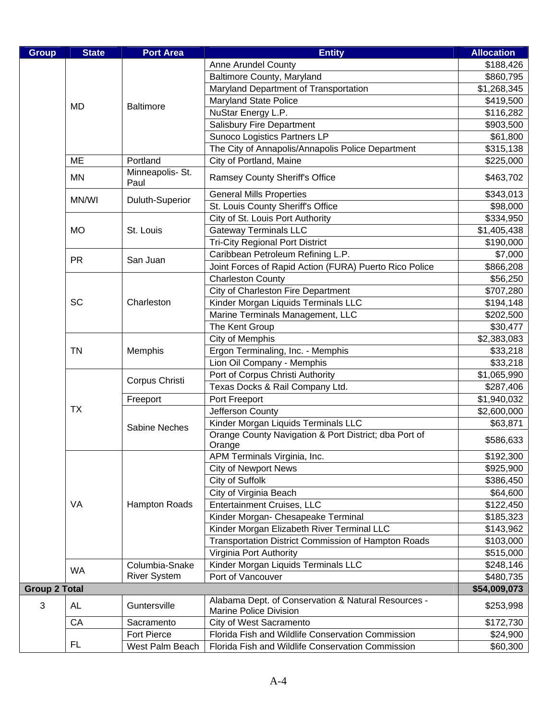| <b>Anne Arundel County</b><br>\$188,426<br><b>Baltimore County, Maryland</b><br>\$860,795<br>Maryland Department of Transportation<br>\$1,268,345<br><b>Maryland State Police</b><br>\$419,500<br><b>MD</b><br><b>Baltimore</b><br>NuStar Energy L.P.<br>\$116,282<br>Salisbury Fire Department<br>\$903,500<br>Sunoco Logistics Partners LP<br>\$61,800<br>The City of Annapolis/Annapolis Police Department<br>\$315,138<br>City of Portland, Maine<br><b>ME</b><br>Portland<br>\$225,000<br>Minneapolis- St.<br><b>MN</b><br><b>Ramsey County Sheriff's Office</b><br>\$463,702<br>Paul<br><b>General Mills Properties</b><br>\$343,013<br>MN/WI<br>Duluth-Superior<br>St. Louis County Sheriff's Office<br>\$98,000<br>City of St. Louis Port Authority<br>\$334,950<br><b>Gateway Terminals LLC</b><br><b>MO</b><br>\$1,405,438<br>St. Louis<br><b>Tri-City Regional Port District</b><br>\$190,000<br>Caribbean Petroleum Refining L.P.<br>\$7,000<br><b>PR</b><br>San Juan<br>Joint Forces of Rapid Action (FURA) Puerto Rico Police<br>\$866,208<br><b>Charleston County</b><br>\$56,250<br>City of Charleston Fire Department<br>\$707,280<br>Kinder Morgan Liquids Terminals LLC<br><b>SC</b><br>Charleston<br>\$194,148<br>Marine Terminals Management, LLC<br>\$202,500<br>The Kent Group<br>\$30,477<br>City of Memphis<br>\$2,383,083<br>Ergon Terminaling, Inc. - Memphis<br><b>TN</b><br>Memphis<br>\$33,218<br>Lion Oil Company - Memphis<br>\$33,218<br>Port of Corpus Christi Authority<br>\$1,065,990<br>Corpus Christi<br>Texas Docks & Rail Company Ltd.<br>\$287,406<br>Port Freeport<br>Freeport<br>\$1,940,032<br><b>TX</b><br>Jefferson County<br>\$2,600,000<br>Kinder Morgan Liquids Terminals LLC<br>\$63,871<br><b>Sabine Neches</b><br>Orange County Navigation & Port District; dba Port of<br>\$586,633<br>Orange<br>APM Terminals Virginia, Inc.<br>\$192,300<br><b>City of Newport News</b><br>\$925,900<br>City of Suffolk<br>\$386,450<br>City of Virginia Beach<br>\$64,600<br>VA<br><b>Hampton Roads</b><br><b>Entertainment Cruises, LLC</b><br>\$122,450<br>Kinder Morgan- Chesapeake Terminal<br>\$185,323<br>Kinder Morgan Elizabeth River Terminal LLC<br>\$143,962<br>Transportation District Commission of Hampton Roads<br>\$103,000<br>Virginia Port Authority<br>\$515,000<br>Kinder Morgan Liquids Terminals LLC<br>Columbia-Snake<br>\$248,146<br><b>WA</b><br><b>River System</b><br>Port of Vancouver<br>\$480,735<br><b>Group 2 Total</b><br>\$54,009,073<br>Alabama Dept. of Conservation & Natural Resources -<br>3<br>Guntersville<br>AL<br>\$253,998<br><b>Marine Police Division</b><br>CA<br>City of West Sacramento<br>Sacramento<br>\$172,730<br>Fort Pierce<br>Florida Fish and Wildlife Conservation Commission<br>\$24,900<br><b>FL</b><br>West Palm Beach<br>Florida Fish and Wildlife Conservation Commission<br>\$60,300 | <b>Group</b> | <b>State</b> | <b>Port Area</b> | <b>Entity</b> | <b>Allocation</b> |
|----------------------------------------------------------------------------------------------------------------------------------------------------------------------------------------------------------------------------------------------------------------------------------------------------------------------------------------------------------------------------------------------------------------------------------------------------------------------------------------------------------------------------------------------------------------------------------------------------------------------------------------------------------------------------------------------------------------------------------------------------------------------------------------------------------------------------------------------------------------------------------------------------------------------------------------------------------------------------------------------------------------------------------------------------------------------------------------------------------------------------------------------------------------------------------------------------------------------------------------------------------------------------------------------------------------------------------------------------------------------------------------------------------------------------------------------------------------------------------------------------------------------------------------------------------------------------------------------------------------------------------------------------------------------------------------------------------------------------------------------------------------------------------------------------------------------------------------------------------------------------------------------------------------------------------------------------------------------------------------------------------------------------------------------------------------------------------------------------------------------------------------------------------------------------------------------------------------------------------------------------------------------------------------------------------------------------------------------------------------------------------------------------------------------------------------------------------------------------------------------------------------------------------------------------------------------------------------------------------------------------------------------------------------------------------------------------------------------------------------------------------------------------------------------------------------------------------------------------------------------------------------------|--------------|--------------|------------------|---------------|-------------------|
|                                                                                                                                                                                                                                                                                                                                                                                                                                                                                                                                                                                                                                                                                                                                                                                                                                                                                                                                                                                                                                                                                                                                                                                                                                                                                                                                                                                                                                                                                                                                                                                                                                                                                                                                                                                                                                                                                                                                                                                                                                                                                                                                                                                                                                                                                                                                                                                                                                                                                                                                                                                                                                                                                                                                                                                                                                                                                              |              |              |                  |               |                   |
|                                                                                                                                                                                                                                                                                                                                                                                                                                                                                                                                                                                                                                                                                                                                                                                                                                                                                                                                                                                                                                                                                                                                                                                                                                                                                                                                                                                                                                                                                                                                                                                                                                                                                                                                                                                                                                                                                                                                                                                                                                                                                                                                                                                                                                                                                                                                                                                                                                                                                                                                                                                                                                                                                                                                                                                                                                                                                              |              |              |                  |               |                   |
|                                                                                                                                                                                                                                                                                                                                                                                                                                                                                                                                                                                                                                                                                                                                                                                                                                                                                                                                                                                                                                                                                                                                                                                                                                                                                                                                                                                                                                                                                                                                                                                                                                                                                                                                                                                                                                                                                                                                                                                                                                                                                                                                                                                                                                                                                                                                                                                                                                                                                                                                                                                                                                                                                                                                                                                                                                                                                              |              |              |                  |               |                   |
|                                                                                                                                                                                                                                                                                                                                                                                                                                                                                                                                                                                                                                                                                                                                                                                                                                                                                                                                                                                                                                                                                                                                                                                                                                                                                                                                                                                                                                                                                                                                                                                                                                                                                                                                                                                                                                                                                                                                                                                                                                                                                                                                                                                                                                                                                                                                                                                                                                                                                                                                                                                                                                                                                                                                                                                                                                                                                              |              |              |                  |               |                   |
|                                                                                                                                                                                                                                                                                                                                                                                                                                                                                                                                                                                                                                                                                                                                                                                                                                                                                                                                                                                                                                                                                                                                                                                                                                                                                                                                                                                                                                                                                                                                                                                                                                                                                                                                                                                                                                                                                                                                                                                                                                                                                                                                                                                                                                                                                                                                                                                                                                                                                                                                                                                                                                                                                                                                                                                                                                                                                              |              |              |                  |               |                   |
|                                                                                                                                                                                                                                                                                                                                                                                                                                                                                                                                                                                                                                                                                                                                                                                                                                                                                                                                                                                                                                                                                                                                                                                                                                                                                                                                                                                                                                                                                                                                                                                                                                                                                                                                                                                                                                                                                                                                                                                                                                                                                                                                                                                                                                                                                                                                                                                                                                                                                                                                                                                                                                                                                                                                                                                                                                                                                              |              |              |                  |               |                   |
|                                                                                                                                                                                                                                                                                                                                                                                                                                                                                                                                                                                                                                                                                                                                                                                                                                                                                                                                                                                                                                                                                                                                                                                                                                                                                                                                                                                                                                                                                                                                                                                                                                                                                                                                                                                                                                                                                                                                                                                                                                                                                                                                                                                                                                                                                                                                                                                                                                                                                                                                                                                                                                                                                                                                                                                                                                                                                              |              |              |                  |               |                   |
|                                                                                                                                                                                                                                                                                                                                                                                                                                                                                                                                                                                                                                                                                                                                                                                                                                                                                                                                                                                                                                                                                                                                                                                                                                                                                                                                                                                                                                                                                                                                                                                                                                                                                                                                                                                                                                                                                                                                                                                                                                                                                                                                                                                                                                                                                                                                                                                                                                                                                                                                                                                                                                                                                                                                                                                                                                                                                              |              |              |                  |               |                   |
|                                                                                                                                                                                                                                                                                                                                                                                                                                                                                                                                                                                                                                                                                                                                                                                                                                                                                                                                                                                                                                                                                                                                                                                                                                                                                                                                                                                                                                                                                                                                                                                                                                                                                                                                                                                                                                                                                                                                                                                                                                                                                                                                                                                                                                                                                                                                                                                                                                                                                                                                                                                                                                                                                                                                                                                                                                                                                              |              |              |                  |               |                   |
|                                                                                                                                                                                                                                                                                                                                                                                                                                                                                                                                                                                                                                                                                                                                                                                                                                                                                                                                                                                                                                                                                                                                                                                                                                                                                                                                                                                                                                                                                                                                                                                                                                                                                                                                                                                                                                                                                                                                                                                                                                                                                                                                                                                                                                                                                                                                                                                                                                                                                                                                                                                                                                                                                                                                                                                                                                                                                              |              |              |                  |               |                   |
|                                                                                                                                                                                                                                                                                                                                                                                                                                                                                                                                                                                                                                                                                                                                                                                                                                                                                                                                                                                                                                                                                                                                                                                                                                                                                                                                                                                                                                                                                                                                                                                                                                                                                                                                                                                                                                                                                                                                                                                                                                                                                                                                                                                                                                                                                                                                                                                                                                                                                                                                                                                                                                                                                                                                                                                                                                                                                              |              |              |                  |               |                   |
|                                                                                                                                                                                                                                                                                                                                                                                                                                                                                                                                                                                                                                                                                                                                                                                                                                                                                                                                                                                                                                                                                                                                                                                                                                                                                                                                                                                                                                                                                                                                                                                                                                                                                                                                                                                                                                                                                                                                                                                                                                                                                                                                                                                                                                                                                                                                                                                                                                                                                                                                                                                                                                                                                                                                                                                                                                                                                              |              |              |                  |               |                   |
|                                                                                                                                                                                                                                                                                                                                                                                                                                                                                                                                                                                                                                                                                                                                                                                                                                                                                                                                                                                                                                                                                                                                                                                                                                                                                                                                                                                                                                                                                                                                                                                                                                                                                                                                                                                                                                                                                                                                                                                                                                                                                                                                                                                                                                                                                                                                                                                                                                                                                                                                                                                                                                                                                                                                                                                                                                                                                              |              |              |                  |               |                   |
|                                                                                                                                                                                                                                                                                                                                                                                                                                                                                                                                                                                                                                                                                                                                                                                                                                                                                                                                                                                                                                                                                                                                                                                                                                                                                                                                                                                                                                                                                                                                                                                                                                                                                                                                                                                                                                                                                                                                                                                                                                                                                                                                                                                                                                                                                                                                                                                                                                                                                                                                                                                                                                                                                                                                                                                                                                                                                              |              |              |                  |               |                   |
|                                                                                                                                                                                                                                                                                                                                                                                                                                                                                                                                                                                                                                                                                                                                                                                                                                                                                                                                                                                                                                                                                                                                                                                                                                                                                                                                                                                                                                                                                                                                                                                                                                                                                                                                                                                                                                                                                                                                                                                                                                                                                                                                                                                                                                                                                                                                                                                                                                                                                                                                                                                                                                                                                                                                                                                                                                                                                              |              |              |                  |               |                   |
|                                                                                                                                                                                                                                                                                                                                                                                                                                                                                                                                                                                                                                                                                                                                                                                                                                                                                                                                                                                                                                                                                                                                                                                                                                                                                                                                                                                                                                                                                                                                                                                                                                                                                                                                                                                                                                                                                                                                                                                                                                                                                                                                                                                                                                                                                                                                                                                                                                                                                                                                                                                                                                                                                                                                                                                                                                                                                              |              |              |                  |               |                   |
|                                                                                                                                                                                                                                                                                                                                                                                                                                                                                                                                                                                                                                                                                                                                                                                                                                                                                                                                                                                                                                                                                                                                                                                                                                                                                                                                                                                                                                                                                                                                                                                                                                                                                                                                                                                                                                                                                                                                                                                                                                                                                                                                                                                                                                                                                                                                                                                                                                                                                                                                                                                                                                                                                                                                                                                                                                                                                              |              |              |                  |               |                   |
|                                                                                                                                                                                                                                                                                                                                                                                                                                                                                                                                                                                                                                                                                                                                                                                                                                                                                                                                                                                                                                                                                                                                                                                                                                                                                                                                                                                                                                                                                                                                                                                                                                                                                                                                                                                                                                                                                                                                                                                                                                                                                                                                                                                                                                                                                                                                                                                                                                                                                                                                                                                                                                                                                                                                                                                                                                                                                              |              |              |                  |               |                   |
|                                                                                                                                                                                                                                                                                                                                                                                                                                                                                                                                                                                                                                                                                                                                                                                                                                                                                                                                                                                                                                                                                                                                                                                                                                                                                                                                                                                                                                                                                                                                                                                                                                                                                                                                                                                                                                                                                                                                                                                                                                                                                                                                                                                                                                                                                                                                                                                                                                                                                                                                                                                                                                                                                                                                                                                                                                                                                              |              |              |                  |               |                   |
|                                                                                                                                                                                                                                                                                                                                                                                                                                                                                                                                                                                                                                                                                                                                                                                                                                                                                                                                                                                                                                                                                                                                                                                                                                                                                                                                                                                                                                                                                                                                                                                                                                                                                                                                                                                                                                                                                                                                                                                                                                                                                                                                                                                                                                                                                                                                                                                                                                                                                                                                                                                                                                                                                                                                                                                                                                                                                              |              |              |                  |               |                   |
|                                                                                                                                                                                                                                                                                                                                                                                                                                                                                                                                                                                                                                                                                                                                                                                                                                                                                                                                                                                                                                                                                                                                                                                                                                                                                                                                                                                                                                                                                                                                                                                                                                                                                                                                                                                                                                                                                                                                                                                                                                                                                                                                                                                                                                                                                                                                                                                                                                                                                                                                                                                                                                                                                                                                                                                                                                                                                              |              |              |                  |               |                   |
|                                                                                                                                                                                                                                                                                                                                                                                                                                                                                                                                                                                                                                                                                                                                                                                                                                                                                                                                                                                                                                                                                                                                                                                                                                                                                                                                                                                                                                                                                                                                                                                                                                                                                                                                                                                                                                                                                                                                                                                                                                                                                                                                                                                                                                                                                                                                                                                                                                                                                                                                                                                                                                                                                                                                                                                                                                                                                              |              |              |                  |               |                   |
|                                                                                                                                                                                                                                                                                                                                                                                                                                                                                                                                                                                                                                                                                                                                                                                                                                                                                                                                                                                                                                                                                                                                                                                                                                                                                                                                                                                                                                                                                                                                                                                                                                                                                                                                                                                                                                                                                                                                                                                                                                                                                                                                                                                                                                                                                                                                                                                                                                                                                                                                                                                                                                                                                                                                                                                                                                                                                              |              |              |                  |               |                   |
|                                                                                                                                                                                                                                                                                                                                                                                                                                                                                                                                                                                                                                                                                                                                                                                                                                                                                                                                                                                                                                                                                                                                                                                                                                                                                                                                                                                                                                                                                                                                                                                                                                                                                                                                                                                                                                                                                                                                                                                                                                                                                                                                                                                                                                                                                                                                                                                                                                                                                                                                                                                                                                                                                                                                                                                                                                                                                              |              |              |                  |               |                   |
|                                                                                                                                                                                                                                                                                                                                                                                                                                                                                                                                                                                                                                                                                                                                                                                                                                                                                                                                                                                                                                                                                                                                                                                                                                                                                                                                                                                                                                                                                                                                                                                                                                                                                                                                                                                                                                                                                                                                                                                                                                                                                                                                                                                                                                                                                                                                                                                                                                                                                                                                                                                                                                                                                                                                                                                                                                                                                              |              |              |                  |               |                   |
|                                                                                                                                                                                                                                                                                                                                                                                                                                                                                                                                                                                                                                                                                                                                                                                                                                                                                                                                                                                                                                                                                                                                                                                                                                                                                                                                                                                                                                                                                                                                                                                                                                                                                                                                                                                                                                                                                                                                                                                                                                                                                                                                                                                                                                                                                                                                                                                                                                                                                                                                                                                                                                                                                                                                                                                                                                                                                              |              |              |                  |               |                   |
|                                                                                                                                                                                                                                                                                                                                                                                                                                                                                                                                                                                                                                                                                                                                                                                                                                                                                                                                                                                                                                                                                                                                                                                                                                                                                                                                                                                                                                                                                                                                                                                                                                                                                                                                                                                                                                                                                                                                                                                                                                                                                                                                                                                                                                                                                                                                                                                                                                                                                                                                                                                                                                                                                                                                                                                                                                                                                              |              |              |                  |               |                   |
|                                                                                                                                                                                                                                                                                                                                                                                                                                                                                                                                                                                                                                                                                                                                                                                                                                                                                                                                                                                                                                                                                                                                                                                                                                                                                                                                                                                                                                                                                                                                                                                                                                                                                                                                                                                                                                                                                                                                                                                                                                                                                                                                                                                                                                                                                                                                                                                                                                                                                                                                                                                                                                                                                                                                                                                                                                                                                              |              |              |                  |               |                   |
|                                                                                                                                                                                                                                                                                                                                                                                                                                                                                                                                                                                                                                                                                                                                                                                                                                                                                                                                                                                                                                                                                                                                                                                                                                                                                                                                                                                                                                                                                                                                                                                                                                                                                                                                                                                                                                                                                                                                                                                                                                                                                                                                                                                                                                                                                                                                                                                                                                                                                                                                                                                                                                                                                                                                                                                                                                                                                              |              |              |                  |               |                   |
|                                                                                                                                                                                                                                                                                                                                                                                                                                                                                                                                                                                                                                                                                                                                                                                                                                                                                                                                                                                                                                                                                                                                                                                                                                                                                                                                                                                                                                                                                                                                                                                                                                                                                                                                                                                                                                                                                                                                                                                                                                                                                                                                                                                                                                                                                                                                                                                                                                                                                                                                                                                                                                                                                                                                                                                                                                                                                              |              |              |                  |               |                   |
|                                                                                                                                                                                                                                                                                                                                                                                                                                                                                                                                                                                                                                                                                                                                                                                                                                                                                                                                                                                                                                                                                                                                                                                                                                                                                                                                                                                                                                                                                                                                                                                                                                                                                                                                                                                                                                                                                                                                                                                                                                                                                                                                                                                                                                                                                                                                                                                                                                                                                                                                                                                                                                                                                                                                                                                                                                                                                              |              |              |                  |               |                   |
|                                                                                                                                                                                                                                                                                                                                                                                                                                                                                                                                                                                                                                                                                                                                                                                                                                                                                                                                                                                                                                                                                                                                                                                                                                                                                                                                                                                                                                                                                                                                                                                                                                                                                                                                                                                                                                                                                                                                                                                                                                                                                                                                                                                                                                                                                                                                                                                                                                                                                                                                                                                                                                                                                                                                                                                                                                                                                              |              |              |                  |               |                   |
|                                                                                                                                                                                                                                                                                                                                                                                                                                                                                                                                                                                                                                                                                                                                                                                                                                                                                                                                                                                                                                                                                                                                                                                                                                                                                                                                                                                                                                                                                                                                                                                                                                                                                                                                                                                                                                                                                                                                                                                                                                                                                                                                                                                                                                                                                                                                                                                                                                                                                                                                                                                                                                                                                                                                                                                                                                                                                              |              |              |                  |               |                   |
|                                                                                                                                                                                                                                                                                                                                                                                                                                                                                                                                                                                                                                                                                                                                                                                                                                                                                                                                                                                                                                                                                                                                                                                                                                                                                                                                                                                                                                                                                                                                                                                                                                                                                                                                                                                                                                                                                                                                                                                                                                                                                                                                                                                                                                                                                                                                                                                                                                                                                                                                                                                                                                                                                                                                                                                                                                                                                              |              |              |                  |               |                   |
|                                                                                                                                                                                                                                                                                                                                                                                                                                                                                                                                                                                                                                                                                                                                                                                                                                                                                                                                                                                                                                                                                                                                                                                                                                                                                                                                                                                                                                                                                                                                                                                                                                                                                                                                                                                                                                                                                                                                                                                                                                                                                                                                                                                                                                                                                                                                                                                                                                                                                                                                                                                                                                                                                                                                                                                                                                                                                              |              |              |                  |               |                   |
|                                                                                                                                                                                                                                                                                                                                                                                                                                                                                                                                                                                                                                                                                                                                                                                                                                                                                                                                                                                                                                                                                                                                                                                                                                                                                                                                                                                                                                                                                                                                                                                                                                                                                                                                                                                                                                                                                                                                                                                                                                                                                                                                                                                                                                                                                                                                                                                                                                                                                                                                                                                                                                                                                                                                                                                                                                                                                              |              |              |                  |               |                   |
|                                                                                                                                                                                                                                                                                                                                                                                                                                                                                                                                                                                                                                                                                                                                                                                                                                                                                                                                                                                                                                                                                                                                                                                                                                                                                                                                                                                                                                                                                                                                                                                                                                                                                                                                                                                                                                                                                                                                                                                                                                                                                                                                                                                                                                                                                                                                                                                                                                                                                                                                                                                                                                                                                                                                                                                                                                                                                              |              |              |                  |               |                   |
|                                                                                                                                                                                                                                                                                                                                                                                                                                                                                                                                                                                                                                                                                                                                                                                                                                                                                                                                                                                                                                                                                                                                                                                                                                                                                                                                                                                                                                                                                                                                                                                                                                                                                                                                                                                                                                                                                                                                                                                                                                                                                                                                                                                                                                                                                                                                                                                                                                                                                                                                                                                                                                                                                                                                                                                                                                                                                              |              |              |                  |               |                   |
|                                                                                                                                                                                                                                                                                                                                                                                                                                                                                                                                                                                                                                                                                                                                                                                                                                                                                                                                                                                                                                                                                                                                                                                                                                                                                                                                                                                                                                                                                                                                                                                                                                                                                                                                                                                                                                                                                                                                                                                                                                                                                                                                                                                                                                                                                                                                                                                                                                                                                                                                                                                                                                                                                                                                                                                                                                                                                              |              |              |                  |               |                   |
|                                                                                                                                                                                                                                                                                                                                                                                                                                                                                                                                                                                                                                                                                                                                                                                                                                                                                                                                                                                                                                                                                                                                                                                                                                                                                                                                                                                                                                                                                                                                                                                                                                                                                                                                                                                                                                                                                                                                                                                                                                                                                                                                                                                                                                                                                                                                                                                                                                                                                                                                                                                                                                                                                                                                                                                                                                                                                              |              |              |                  |               |                   |
|                                                                                                                                                                                                                                                                                                                                                                                                                                                                                                                                                                                                                                                                                                                                                                                                                                                                                                                                                                                                                                                                                                                                                                                                                                                                                                                                                                                                                                                                                                                                                                                                                                                                                                                                                                                                                                                                                                                                                                                                                                                                                                                                                                                                                                                                                                                                                                                                                                                                                                                                                                                                                                                                                                                                                                                                                                                                                              |              |              |                  |               |                   |
|                                                                                                                                                                                                                                                                                                                                                                                                                                                                                                                                                                                                                                                                                                                                                                                                                                                                                                                                                                                                                                                                                                                                                                                                                                                                                                                                                                                                                                                                                                                                                                                                                                                                                                                                                                                                                                                                                                                                                                                                                                                                                                                                                                                                                                                                                                                                                                                                                                                                                                                                                                                                                                                                                                                                                                                                                                                                                              |              |              |                  |               |                   |
|                                                                                                                                                                                                                                                                                                                                                                                                                                                                                                                                                                                                                                                                                                                                                                                                                                                                                                                                                                                                                                                                                                                                                                                                                                                                                                                                                                                                                                                                                                                                                                                                                                                                                                                                                                                                                                                                                                                                                                                                                                                                                                                                                                                                                                                                                                                                                                                                                                                                                                                                                                                                                                                                                                                                                                                                                                                                                              |              |              |                  |               |                   |
|                                                                                                                                                                                                                                                                                                                                                                                                                                                                                                                                                                                                                                                                                                                                                                                                                                                                                                                                                                                                                                                                                                                                                                                                                                                                                                                                                                                                                                                                                                                                                                                                                                                                                                                                                                                                                                                                                                                                                                                                                                                                                                                                                                                                                                                                                                                                                                                                                                                                                                                                                                                                                                                                                                                                                                                                                                                                                              |              |              |                  |               |                   |
|                                                                                                                                                                                                                                                                                                                                                                                                                                                                                                                                                                                                                                                                                                                                                                                                                                                                                                                                                                                                                                                                                                                                                                                                                                                                                                                                                                                                                                                                                                                                                                                                                                                                                                                                                                                                                                                                                                                                                                                                                                                                                                                                                                                                                                                                                                                                                                                                                                                                                                                                                                                                                                                                                                                                                                                                                                                                                              |              |              |                  |               |                   |
|                                                                                                                                                                                                                                                                                                                                                                                                                                                                                                                                                                                                                                                                                                                                                                                                                                                                                                                                                                                                                                                                                                                                                                                                                                                                                                                                                                                                                                                                                                                                                                                                                                                                                                                                                                                                                                                                                                                                                                                                                                                                                                                                                                                                                                                                                                                                                                                                                                                                                                                                                                                                                                                                                                                                                                                                                                                                                              |              |              |                  |               |                   |
|                                                                                                                                                                                                                                                                                                                                                                                                                                                                                                                                                                                                                                                                                                                                                                                                                                                                                                                                                                                                                                                                                                                                                                                                                                                                                                                                                                                                                                                                                                                                                                                                                                                                                                                                                                                                                                                                                                                                                                                                                                                                                                                                                                                                                                                                                                                                                                                                                                                                                                                                                                                                                                                                                                                                                                                                                                                                                              |              |              |                  |               |                   |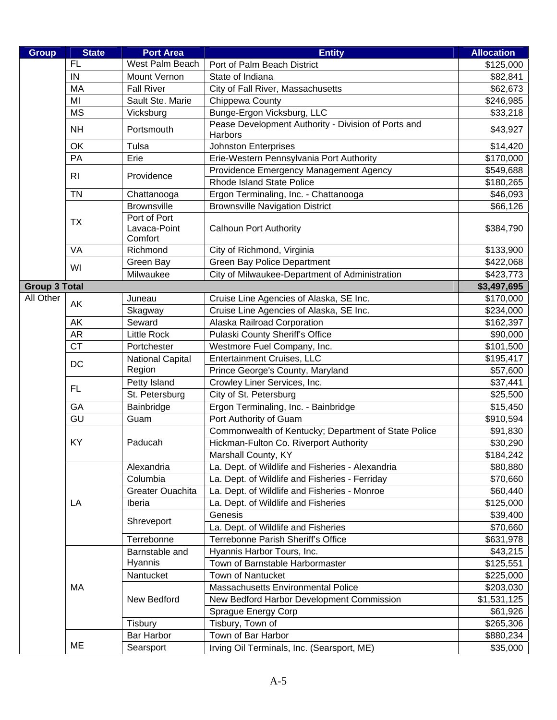| <b>Group</b>         | <b>State</b>   | <b>Port Area</b>                        | <b>Entity</b>                                                  | <b>Allocation</b> |
|----------------------|----------------|-----------------------------------------|----------------------------------------------------------------|-------------------|
|                      | <b>FL</b>      | West Palm Beach                         | Port of Palm Beach District                                    | \$125,000         |
|                      | IN             | Mount Vernon                            | State of Indiana                                               | \$82,841          |
|                      | <b>MA</b>      | <b>Fall River</b>                       | City of Fall River, Massachusetts                              | \$62,673          |
|                      | MI             | Sault Ste. Marie                        | Chippewa County                                                | \$246,985         |
|                      | <b>MS</b>      | Vicksburg                               | Bunge-Ergon Vicksburg, LLC                                     | \$33,218          |
|                      | <b>NH</b>      | Portsmouth                              | Pease Development Authority - Division of Ports and<br>Harbors | \$43,927          |
|                      | OK             | Tulsa                                   | <b>Johnston Enterprises</b>                                    | \$14,420          |
|                      | PA             | Erie                                    | Erie-Western Pennsylvania Port Authority                       | \$170,000         |
|                      | R <sub>l</sub> | Providence                              | Providence Emergency Management Agency                         | \$549,688         |
|                      |                |                                         | Rhode Island State Police                                      | \$180,265         |
|                      | <b>TN</b>      | Chattanooga                             | Ergon Terminaling, Inc. - Chattanooga                          | \$46,093          |
|                      |                | <b>Brownsville</b>                      | <b>Brownsville Navigation District</b>                         | \$66,126          |
|                      | ТX             | Port of Port<br>Lavaca-Point<br>Comfort | <b>Calhoun Port Authority</b>                                  | \$384,790         |
|                      | VA             | Richmond                                | City of Richmond, Virginia                                     | \$133,900         |
|                      |                | Green Bay                               | <b>Green Bay Police Department</b>                             | \$422,068         |
|                      | WI             | Milwaukee                               | City of Milwaukee-Department of Administration                 | \$423,773         |
| <b>Group 3 Total</b> |                |                                         |                                                                | \$3,497,695       |
| All Other            | AK             | Juneau                                  | Cruise Line Agencies of Alaska, SE Inc.                        | \$170,000         |
|                      |                | Skagway                                 | Cruise Line Agencies of Alaska, SE Inc.                        | \$234,000         |
|                      | AK             | Seward                                  | Alaska Railroad Corporation                                    | \$162,397         |
|                      | <b>AR</b>      | <b>Little Rock</b>                      | Pulaski County Sheriff's Office                                | \$90,000          |
|                      | <b>CT</b>      | Portchester                             | Westmore Fuel Company, Inc.                                    | \$101,500         |
|                      | DC             | <b>National Capital</b>                 | Entertainment Cruises, LLC                                     | \$195,417         |
|                      |                | Region                                  | Prince George's County, Maryland                               | \$57,600          |
|                      | <b>FL</b>      | Petty Island                            | Crowley Liner Services, Inc.                                   | \$37,441          |
|                      |                | St. Petersburg                          | City of St. Petersburg                                         | \$25,500          |
|                      | GA             | Bainbridge                              | Ergon Terminaling, Inc. - Bainbridge                           | \$15,450          |
|                      | GU             | Guam                                    | Port Authority of Guam                                         | \$910,594         |
|                      | KY             |                                         | Commonwealth of Kentucky; Department of State Police           | \$91,830          |
|                      |                | Paducah                                 | Hickman-Fulton Co. Riverport Authority                         | \$30,290          |
|                      |                |                                         | Marshall County, KY                                            | \$184,242         |
|                      |                | Alexandria                              | La. Dept. of Wildlife and Fisheries - Alexandria               | \$80,880          |
|                      |                | Columbia                                | La. Dept. of Wildlife and Fisheries - Ferriday                 | \$70,660          |
|                      |                | <b>Greater Ouachita</b>                 | La. Dept. of Wildlife and Fisheries - Monroe                   | \$60,440          |
|                      | LA             | Iberia                                  | La. Dept. of Wildlife and Fisheries                            | \$125,000         |
|                      |                | Shreveport                              | Genesis                                                        | \$39,400          |
|                      |                |                                         | La. Dept. of Wildlife and Fisheries                            | \$70,660          |
|                      |                | Terrebonne                              | Terrebonne Parish Sheriff's Office                             | \$631,978         |
|                      |                | Barnstable and                          | Hyannis Harbor Tours, Inc.                                     | \$43,215          |
|                      |                | Hyannis                                 | Town of Barnstable Harbormaster                                | \$125,551         |
|                      |                | Nantucket                               | <b>Town of Nantucket</b>                                       | \$225,000         |
|                      | MA             |                                         | Massachusetts Environmental Police                             | \$203,030         |
|                      |                | New Bedford                             | New Bedford Harbor Development Commission                      | \$1,531,125       |
|                      |                |                                         | Sprague Energy Corp                                            | \$61,926          |
|                      |                | Tisbury                                 | Tisbury, Town of                                               | \$265,306         |
|                      |                | <b>Bar Harbor</b>                       | Town of Bar Harbor                                             | \$880,234         |
|                      | ME             | Searsport                               | Irving Oil Terminals, Inc. (Searsport, ME)                     | \$35,000          |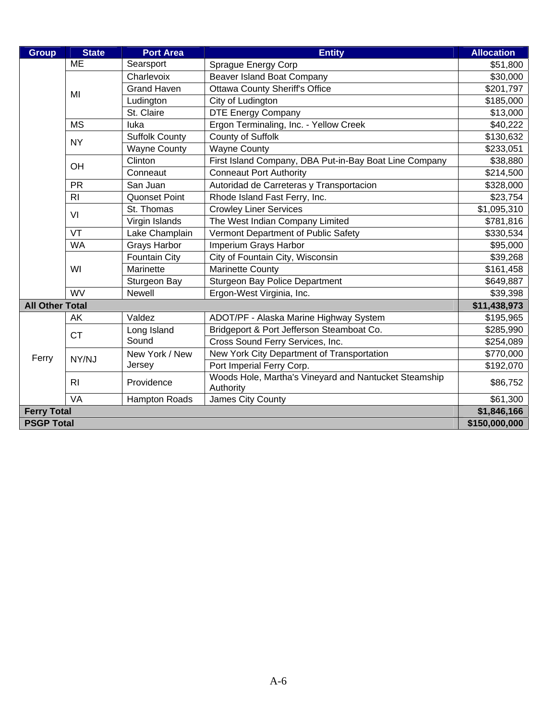| <b>Group</b>           | <b>State</b>      | <b>Port Area</b>      | <b>Entity</b>                                                      | <b>Allocation</b> |
|------------------------|-------------------|-----------------------|--------------------------------------------------------------------|-------------------|
|                        | <b>ME</b>         | Searsport             | Sprague Energy Corp                                                | \$51,800          |
|                        |                   | Charlevoix            | Beaver Island Boat Company                                         | \$30,000          |
|                        | MI                | <b>Grand Haven</b>    | <b>Ottawa County Sheriff's Office</b>                              | \$201,797         |
|                        |                   | Ludington             | City of Ludington                                                  | \$185,000         |
|                        |                   | St. Claire            | <b>DTE Energy Company</b>                                          | \$13,000          |
|                        | <b>MS</b>         | luka                  | Ergon Terminaling, Inc. - Yellow Creek                             | \$40,222          |
|                        | <b>NY</b>         | <b>Suffolk County</b> | County of Suffolk                                                  | \$130,632         |
|                        |                   | <b>Wayne County</b>   | <b>Wayne County</b>                                                | \$233,051         |
|                        | OH                | Clinton               | First Island Company, DBA Put-in-Bay Boat Line Company             | \$38,880          |
|                        |                   | Conneaut              | <b>Conneaut Port Authority</b>                                     | \$214,500         |
|                        | <b>PR</b>         | San Juan              | Autoridad de Carreteras y Transportacion                           | \$328,000         |
|                        | R <sub>l</sub>    | <b>Quonset Point</b>  | Rhode Island Fast Ferry, Inc.                                      | \$23,754          |
|                        | VI                | St. Thomas            | <b>Crowley Liner Services</b>                                      | \$1,095,310       |
|                        |                   | Virgin Islands        | The West Indian Company Limited                                    | \$781,816         |
|                        | VT                | Lake Champlain        | Vermont Department of Public Safety                                | \$330,534         |
|                        | <b>WA</b>         | <b>Grays Harbor</b>   | Imperium Grays Harbor                                              | \$95,000          |
|                        | WI                | <b>Fountain City</b>  | City of Fountain City, Wisconsin                                   | \$39,268          |
|                        |                   | Marinette             | <b>Marinette County</b>                                            | \$161,458         |
|                        |                   | Sturgeon Bay          | <b>Sturgeon Bay Police Department</b>                              | \$649,887         |
|                        | <b>WV</b>         | <b>Newell</b>         | Ergon-West Virginia, Inc.                                          | \$39,398          |
| <b>All Other Total</b> |                   |                       |                                                                    | \$11,438,973      |
|                        | AK                | Valdez                | ADOT/PF - Alaska Marine Highway System                             | \$195,965         |
|                        | <b>CT</b>         | Long Island           | Bridgeport & Port Jefferson Steamboat Co.                          | \$285,990         |
|                        |                   | Sound                 | Cross Sound Ferry Services, Inc.                                   | \$254,089         |
| Ferry                  | NY/NJ             | New York / New        | New York City Department of Transportation                         | \$770,000         |
|                        |                   | Jersey                | Port Imperial Ferry Corp.                                          | \$192,070         |
|                        | R <sub>l</sub>    | Providence            | Woods Hole, Martha's Vineyard and Nantucket Steamship<br>Authority | \$86,752          |
|                        | <b>VA</b>         | <b>Hampton Roads</b>  | James City County                                                  | \$61,300          |
| <b>Ferry Total</b>     |                   |                       | \$1,846,166                                                        |                   |
|                        | <b>PSGP Total</b> |                       |                                                                    | \$150,000,000     |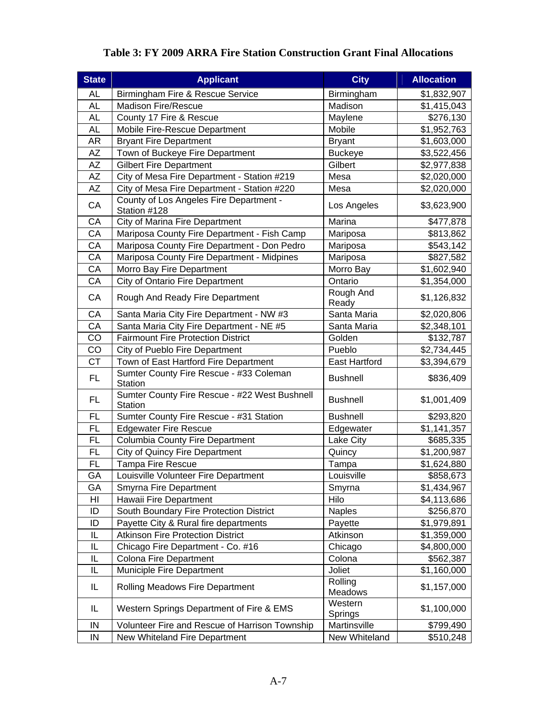| <b>State</b> | <b>Applicant</b>                                         | <b>City</b>          | <b>Allocation</b>       |
|--------------|----------------------------------------------------------|----------------------|-------------------------|
| <b>AL</b>    | Birmingham Fire & Rescue Service                         | Birmingham           | \$1,832,907             |
| <b>AL</b>    | <b>Madison Fire/Rescue</b>                               | Madison              | \$1,415,043             |
| <b>AL</b>    | County 17 Fire & Rescue                                  | Maylene              | \$276,130               |
| <b>AL</b>    | Mobile Fire-Rescue Department                            | Mobile               | \$1,952,763             |
| <b>AR</b>    | <b>Bryant Fire Department</b>                            | <b>Bryant</b>        | \$1,603,000             |
| <b>AZ</b>    | Town of Buckeye Fire Department                          | <b>Buckeye</b>       | \$3,522,456             |
| <b>AZ</b>    | <b>Gilbert Fire Department</b>                           | Gilbert              | \$2,977,838             |
| AZ           | City of Mesa Fire Department - Station #219              | Mesa                 | \$2,020,000             |
| <b>AZ</b>    | City of Mesa Fire Department - Station #220              | Mesa                 | \$2,020,000             |
| CA           | County of Los Angeles Fire Department -<br>Station #128  | Los Angeles          | \$3,623,900             |
| CA           | City of Marina Fire Department                           | Marina               | \$477,878               |
| CA           | Mariposa County Fire Department - Fish Camp              | Mariposa             | \$813,862               |
| CA           | Mariposa County Fire Department - Don Pedro              | Mariposa             | \$543,142               |
| CA           | Mariposa County Fire Department - Midpines               | Mariposa             | \$827,582               |
| CA           | Morro Bay Fire Department                                | Morro Bay            | \$1,602,940             |
| CA           | <b>City of Ontario Fire Department</b>                   | Ontario              | \$1,354,000             |
| CA           | Rough And Ready Fire Department                          | Rough And<br>Ready   | \$1,126,832             |
| CA           | Santa Maria City Fire Department - NW #3                 | Santa Maria          | \$2,020,806             |
| CA           | Santa Maria City Fire Department - NE #5                 | Santa Maria          | \$2,348,101             |
| CO           | <b>Fairmount Fire Protection District</b>                | Golden               | \$132,787               |
| CO           | City of Pueblo Fire Department                           | Pueblo               | \$2,734,445             |
| <b>CT</b>    | Town of East Hartford Fire Department                    | <b>East Hartford</b> | $\overline{$}3,394,679$ |
| FL.          | Sumter County Fire Rescue - #33 Coleman<br>Station       | <b>Bushnell</b>      | \$836,409               |
| FL.          | Sumter County Fire Rescue - #22 West Bushnell<br>Station | <b>Bushnell</b>      | \$1,001,409             |
| <b>FL</b>    | Sumter County Fire Rescue - #31 Station                  | <b>Bushnell</b>      | \$293,820               |
| <b>FL</b>    | <b>Edgewater Fire Rescue</b>                             | Edgewater            | \$1,141,357             |
| <b>FL</b>    | <b>Columbia County Fire Department</b>                   | Lake City            | \$685,335               |
| <b>FL</b>    | City of Quincy Fire Department                           | Quincy               | \$1,200,987             |
| FL           | Tampa Fire Rescue                                        | Tampa                | \$1,624,880             |
| GA           | Louisville Volunteer Fire Department                     | Louisville           | \$858,673               |
| GА           | Smyrna Fire Department                                   | Smyrna               | \$1,434,967             |
| HI           | Hawaii Fire Department                                   | Hilo                 | \$4,113,686             |
| ID           | South Boundary Fire Protection District                  | <b>Naples</b>        | \$256,870               |
| ID           | Payette City & Rural fire departments                    | Payette              | \$1,979,891             |
| IL           | <b>Atkinson Fire Protection District</b>                 | Atkinson             | \$1,359,000             |
| IL           | Chicago Fire Department - Co. #16                        | Chicago              | \$4,800,000             |
| IL           | <b>Colona Fire Department</b>                            | Colona               | \$562,387               |
| IL           | Municiple Fire Department                                | Joliet               | \$1,160,000             |
| IL           | <b>Rolling Meadows Fire Department</b>                   | Rolling<br>Meadows   | \$1,157,000             |
| IL           | Western Springs Department of Fire & EMS                 | Western<br>Springs   | \$1,100,000             |
| IN           | Volunteer Fire and Rescue of Harrison Township           | Martinsville         | \$799,490               |
| IN           | New Whiteland Fire Department                            | New Whiteland        | \$510,248               |

# **Table 3: FY 2009 ARRA Fire Station Construction Grant Final Allocations**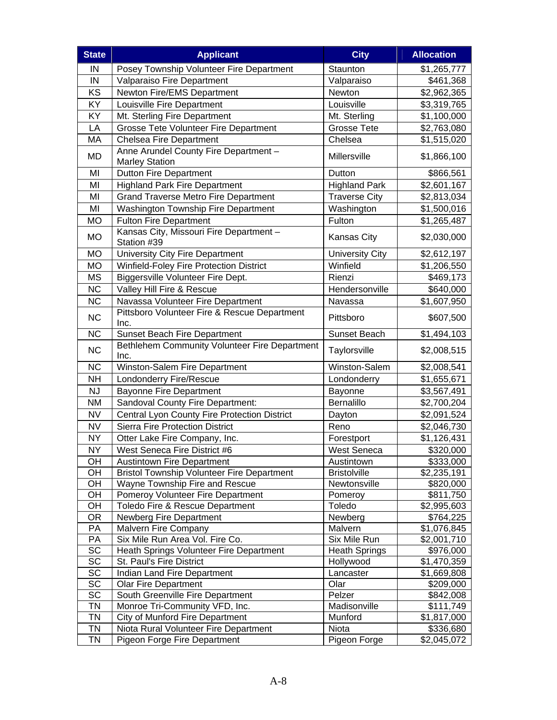| <b>State</b> | <b>Applicant</b>                                               | <b>City</b>            | <b>Allocation</b> |
|--------------|----------------------------------------------------------------|------------------------|-------------------|
| IN           | Posey Township Volunteer Fire Department                       | Staunton               | \$1,265,777       |
| IN           | Valparaiso Fire Department                                     | Valparaiso             | \$461,368         |
| KS           | Newton Fire/EMS Department                                     | Newton                 | \$2,962,365       |
| KY           | Louisville Fire Department                                     | Louisville             | \$3,319,765       |
| KY           | Mt. Sterling Fire Department                                   | Mt. Sterling           | \$1,100,000       |
| LA           | Grosse Tete Volunteer Fire Department                          | <b>Grosse Tete</b>     | \$2,763,080       |
| MA           | <b>Chelsea Fire Department</b>                                 | Chelsea                | \$1,515,020       |
| MD           | Anne Arundel County Fire Department -<br><b>Marley Station</b> | Millersville           | \$1,866,100       |
| MI           | <b>Dutton Fire Department</b>                                  | Dutton                 | \$866,561         |
| MI           | <b>Highland Park Fire Department</b>                           | <b>Highland Park</b>   | \$2,601,167       |
| MI           | <b>Grand Traverse Metro Fire Department</b>                    | <b>Traverse City</b>   | \$2,813,034       |
| MI           | Washington Township Fire Department                            | Washington             | \$1,500,016       |
| <b>MO</b>    | <b>Fulton Fire Department</b>                                  | Fulton                 | \$1,265,487       |
| <b>MO</b>    | Kansas City, Missouri Fire Department -<br>Station #39         | <b>Kansas City</b>     | \$2,030,000       |
| <b>MO</b>    | University City Fire Department                                | <b>University City</b> | \$2,612,197       |
| <b>MO</b>    | Winfield-Foley Fire Protection District                        | Winfield               | \$1,206,550       |
| <b>MS</b>    | Biggersville Volunteer Fire Dept.                              | Rienzi                 | \$469,173         |
| <b>NC</b>    | Valley Hill Fire & Rescue                                      | Hendersonville         | \$640,000         |
| <b>NC</b>    | Navassa Volunteer Fire Department                              | Navassa                | \$1,607,950       |
| <b>NC</b>    | Pittsboro Volunteer Fire & Rescue Department<br>Inc.           | Pittsboro              | \$607,500         |
| <b>NC</b>    | <b>Sunset Beach Fire Department</b>                            | Sunset Beach           | \$1,494,103       |
| <b>NC</b>    | Bethlehem Community Volunteer Fire Department<br>Inc.          | Taylorsville           | \$2,008,515       |
| <b>NC</b>    | Winston-Salem Fire Department                                  | Winston-Salem          | \$2,008,541       |
| <b>NH</b>    | Londonderry Fire/Rescue                                        | Londonderry            | \$1,655,671       |
| <b>NJ</b>    | <b>Bayonne Fire Department</b>                                 | Bayonne                | \$3,567,491       |
| <b>NM</b>    | Sandoval County Fire Department:                               | Bernalillo             | \$2,700,204       |
| <b>NV</b>    | Central Lyon County Fire Protection District                   | Dayton                 | \$2,091,524       |
| <b>NV</b>    | <b>Sierra Fire Protection District</b>                         | Reno                   | \$2,046,730       |
| <b>NY</b>    | Otter Lake Fire Company, Inc.                                  | Forestport             | \$1,126,431       |
| <b>NY</b>    | West Seneca Fire District #6                                   | <b>West Seneca</b>     | \$320,000         |
| OH           | <b>Austintown Fire Department</b>                              | Austintown             | \$333,000         |
| OH           | <b>Bristol Township Volunteer Fire Department</b>              | <b>Bristolville</b>    | \$2,235,191       |
| OH           | Wayne Township Fire and Rescue                                 | Newtonsville           | \$820,000         |
| OH           | Pomeroy Volunteer Fire Department                              | Pomeroy                | \$811,750         |
| OH           | Toledo Fire & Rescue Department                                | Toledo                 | \$2,995,603       |
| <b>OR</b>    | Newberg Fire Department                                        | Newberg                | \$764,225         |
| PA           | Malvern Fire Company                                           | Malvern                | \$1,076,845       |
| PA           | Six Mile Run Area Vol. Fire Co.                                | Six Mile Run           | \$2,001,710       |
| SC           | Heath Springs Volunteer Fire Department                        | <b>Heath Springs</b>   | \$976,000         |
| SC           | St. Paul's Fire District                                       | Hollywood              | \$1,470,359       |
| SC           | Indian Land Fire Department                                    | Lancaster              | \$1,669,808       |
| SC           | <b>Olar Fire Department</b>                                    | Olar                   | \$209,000         |
| SC           | South Greenville Fire Department                               | Pelzer                 | \$842,008         |
| <b>TN</b>    | Monroe Tri-Community VFD, Inc.                                 | Madisonville           | \$111,749         |
| <b>TN</b>    | City of Munford Fire Department                                | Munford                | \$1,817,000       |
| <b>TN</b>    | Niota Rural Volunteer Fire Department                          | Niota                  | \$336,680         |
| <b>TN</b>    | Pigeon Forge Fire Department                                   | Pigeon Forge           | \$2,045,072       |